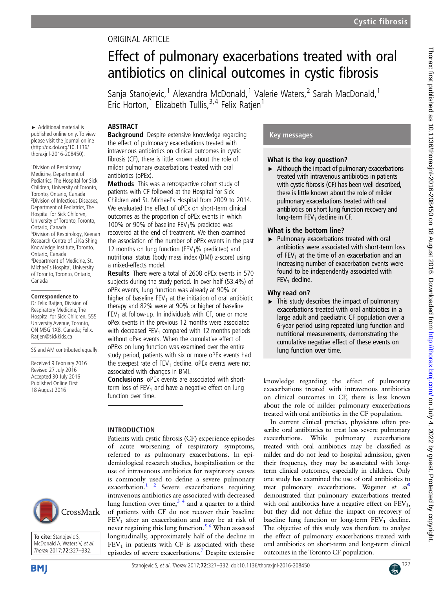# ORIGINAL ARTICLE

# Effect of pulmonary exacerbations treated with oral antibiotics on clinical outcomes in cystic fibrosis

Sanja Stanojevic,<sup>1</sup> Alexandra McDonald,<sup>1</sup> Valerie Waters,<sup>2</sup> Sarah MacDonald,<sup>1</sup> Eric Horton,<sup>1</sup> Elizabeth Tullis,  $3,4$  Felix Ratjen<sup>1</sup>

#### ABSTRACT

► Additional material is published online only. To view please visit the journal online (http://dx.doi.org/10.1136/ thoraxjnl-2016-208450).

1 Division of Respiratory Medicine, Department of Pediatrics, The Hospital for Sick Children, University of Toronto, Toronto, Ontario, Canada 2 Division of Infectious Diseases, Department of Pediatrics, The Hospital for Sick Children, University of Toronto, Toronto, Ontario, Canada 3 Division of Respirology, Keenan Research Centre of Li Ka Shing Knowledge Institute, Toronto, Ontario, Canada 4 Department of Medicine, St. Michael's Hospital, University of Toronto, Toronto, Ontario, Canada

#### **Correspondence to**

Dr Felix Ratjen, Division of Respiratory Medicine, The Hospital for Sick Children, 555 University Avenue, Toronto, ON M5G 1X8, Canada; Felix. Ratjen@sickkids.ca

SS and AM contributed equally.

Received 9 February 2016 Revised 27 July 2016 Accepted 30 July 2016 Published Online First 18 August 2016

# CrossMark



**Background** Despite extensive knowledge regarding the effect of pulmonary exacerbations treated with intravenous antibiotics on clinical outcomes in cystic fibrosis (CF), there is little known about the role of milder pulmonary exacerbations treated with oral antibiotics (oPEx).

Methods This was a retrospective cohort study of patients with CF followed at the Hospital for Sick Children and St. Michael's Hospital from 2009 to 2014. We evaluated the effect of oPEx on short-term clinical outcomes as the proportion of oPEx events in which 100% or 90% of baseline FEV<sub>1</sub>% predicted was recovered at the end of treatment. We then examined the association of the number of oPEx events in the past 12 months on lung function (FEV<sub>1</sub>% predicted) and nutritional status (body mass index (BMI) z-score) using a mixed-effects model.

Results There were a total of 2608 oPEx events in 570 subjects during the study period. In over half (53.4%) of oPEx events, lung function was already at 90% or higher of baseline  $FEV_1$  at the initiation of oral antibiotic therapy and 82% were at 90% or higher of baseline  $FEV<sub>1</sub>$  at follow-up. In individuals with CF, one or more oPex events in the previous 12 months were associated with decreased  $FEV<sub>1</sub>$  compared with 12 months periods without oPex events. When the cumulative effect of oPExs on lung function was examined over the entire study period, patients with six or more oPEx events had the steepest rate of  $FEV<sub>1</sub>$  decline. oPEx events were not associated with changes in BMI.

Conclusions oPEx events are associated with shortterm loss of  $FEV<sub>1</sub>$  and have a negative effect on lung function over time.

## INTRODUCTION

Patients with cystic fibrosis (CF) experience episodes of acute worsening of respiratory symptoms, referred to as pulmonary exacerbations. In epidemiological research studies, hospitalisation or the use of intravenous antibiotics for respiratory causes is commonly used to define a severe pulmonary exacerbation.<sup>1</sup><sup>2</sup> Severe exacerbations requiring intravenous antibiotics are associated with decreased lung function over time, $3<sup>4</sup>$  and a quarter to a third of patients with CF do not recover their baseline  $FEV<sub>1</sub>$  after an exacerbation and may be at risk of never regaining this lung function.<sup>[5 6](#page-5-0)</sup> When assessed longitudinally, approximately half of the decline in  $FEV<sub>1</sub>$  in patients with CF is associated with these episodes of severe exacerbations.[7](#page-5-0) Despite extensive

# Key messages

## What is the key question?

 $\blacktriangleright$  Although the impact of pulmonary exacerbations treated with intravenous antibiotics in patients with cystic fibrosis (CF) has been well described, there is little known about the role of milder pulmonary exacerbations treated with oral antibiotics on short lung function recovery and long-term  $FEV<sub>1</sub>$  decline in CF.

# What is the bottom line?

▸ Pulmonary exacerbations treated with oral antibiotics were associated with short-term loss of FEV<sub>1</sub> at the time of an exacerbation and an increasing number of exacerbation events were found to be independently associated with  $FEV<sub>1</sub>$  decline.

#### Why read on?

 $\blacktriangleright$  This study describes the impact of pulmonary exacerbations treated with oral antibiotics in a large adult and paediatric CF population over a 6-year period using repeated lung function and nutritional measurements, demonstrating the cumulative negative effect of these events on lung function over time.

knowledge regarding the effect of pulmonary exacerbations treated with intravenous antibiotics on clinical outcomes in CF, there is less known about the role of milder pulmonary exacerbations treated with oral antibiotics in the CF population.

In current clinical practice, physicians often prescribe oral antibiotics to treat less severe pulmonary exacerbations. While pulmonary exacerbations treated with oral antibiotics may be classified as milder and do not lead to hospital admission, given their frequency, they may be associated with longterm clinical outcomes, especially in children. Only one study has examined the use of oral antibiotics to treat pulmonary exacerbations. Wagener et  $al^8$  $al^8$ demonstrated that pulmonary exacerbations treated with oral antibiotics have a negative effect on  $FEV<sub>1</sub>$ , but they did not define the impact on recovery of baseline lung function or long-term  $FEV<sub>1</sub>$  decline. The objective of this study was therefore to analyse the effect of pulmonary exacerbations treated with oral antibiotics on short-term and long-term clinical outcomes in the Toronto CF population.

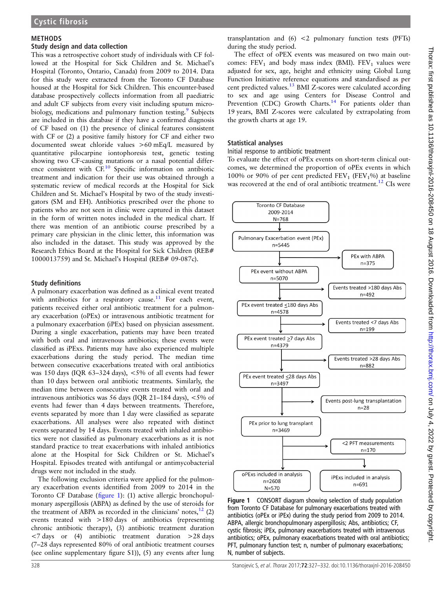#### <span id="page-1-0"></span>METHODS

#### Study design and data collection

This was a retrospective cohort study of individuals with CF followed at the Hospital for Sick Children and St. Michael's Hospital (Toronto, Ontario, Canada) from 2009 to 2014. Data for this study were extracted from the Toronto CF Database housed at the Hospital for Sick Children. This encounter-based database prospectively collects information from all paediatric and adult CF subjects from every visit including sputum micro-biology, medications and pulmonary function testing.<sup>[9](#page-5-0)</sup> Subjects are included in this database if they have a confirmed diagnosis of CF based on (1) the presence of clinical features consistent with CF or (2) a positive family history for CF and either two documented sweat chloride values >60 mEq/L measured by quantitative pilocarpine iontophoresis test, genetic testing showing two CF-causing mutations or a nasal potential differ-ence consistent with CF.<sup>[10](#page-5-0)</sup> Specific information on antibiotic treatment and indication for their use was obtained through a systematic review of medical records at the Hospital for Sick Children and St. Michael's Hospital by two of the study investigators (SM and EH). Antibiotics prescribed over the phone to patients who are not seen in clinic were captured in this dataset in the form of written notes included in the medical chart. If there was mention of an antibiotic course prescribed by a primary care physician in the clinic letter, this information was also included in the dataset. This study was approved by the Research Ethics Board at the Hospital for Sick Children (REB# 1000013759) and St. Michael's Hospital (REB# 09-087c).

#### Study definitions

A pulmonary exacerbation was defined as a clinical event treated with antibiotics for a respiratory cause.<sup>[11](#page-5-0)</sup> For each event, patients received either oral antibiotic treatment for a pulmonary exacerbation (oPEx) or intravenous antibiotic treatment for a pulmonary exacerbation (iPEx) based on physician assessment. During a single exacerbation, patients may have been treated with both oral and intravenous antibiotics; these events were classified as iPExs. Patients may have also experienced multiple exacerbations during the study period. The median time between consecutive exacerbations treated with oral antibiotics was 150 days (IQR 63–324 days), <5% of all events had fewer than 10 days between oral antibiotic treatments. Similarly, the median time between consecutive events treated with oral and intravenous antibiotics was 56 days (IQR 21–184 days), <5% of events had fewer than 4 days between treatments. Therefore, events separated by more than 1 day were classified as separate exacerbations. All analyses were also repeated with distinct events separated by 14 days. Events treated with inhaled antibiotics were not classified as pulmonary exacerbations as it is not standard practice to treat exacerbations with inhaled antibiotics alone at the Hospital for Sick Children or St. Michael's Hospital. Episodes treated with antifungal or antimycobacterial drugs were not included in the study.

The following exclusion criteria were applied for the pulmonary exacerbation events identified from 2009 to 2014 in the Toronto CF Database (figure 1): (1) active allergic bronchopulmonary aspergillosis (ABPA) as defined by the use of steroids for the treatment of ABPA as recorded in the clinicians' notes, $12$  (2) events treated with >180 days of antibiotics (representing chronic antibiotic therapy), (3) antibiotic treatment duration <7 days or (4) antibiotic treatment duration >28 days (7–28 days represented 80% of oral antibiotic treatment courses (see online supplementary figure S1)), (5) any events after lung

transplantation and  $(6)$  <2 pulmonary function tests (PFTs) during the study period.

The effect of oPEX events was measured on two main outcomes:  $FEV_1$  and body mass index (BMI).  $FEV_1$  values were adjusted for sex, age, height and ethnicity using Global Lung Function Initiative reference equations and standardised as per cent predicted values.<sup>[13](#page-5-0)</sup> BMI Z-scores were calculated according to sex and age using Centers for Disease Control and Prevention (CDC) Growth Charts.<sup>[14](#page-5-0)</sup> For patients older than 19 years, BMI Z-scores were calculated by extrapolating from the growth charts at age 19.

#### Statistical analyses

Initial response to antibiotic treatment

To evaluate the effect of oPEx events on short-term clinical outcomes, we determined the proportion of oPEx events in which 100% or 90% of per cent predicted  $FEV_1$  ( $FEV_1$ %) at baseline was recovered at the end of oral antibiotic treatment.<sup>[12](#page-5-0)</sup> CIs were



Figure 1 CONSORT diagram showing selection of study population from Toronto CF Database for pulmonary exacerbations treated with antibiotics (oPEx or iPEx) during the study period from 2009 to 2014. ABPA, allergic bronchopulmonary aspergillosis; Abs, antibiotics; CF, cystic fibrosis; iPEx, pulmonary exacerbations treated with intravenous antibiotics; oPEx, pulmonary exacerbations treated with oral antibiotics; PFT, pulmonary function test; n, number of pulmonary exacerbations; N, number of subjects.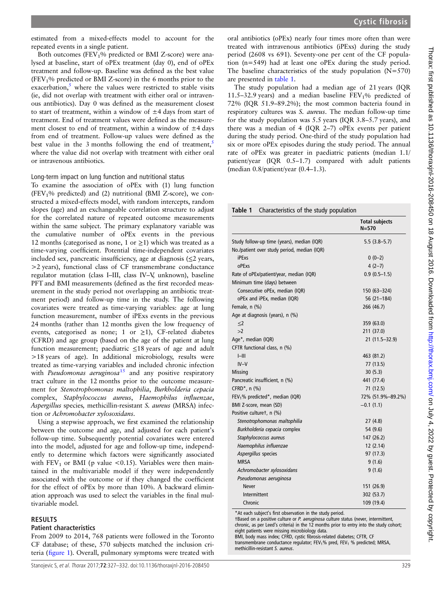estimated from a mixed-effects model to account for the repeated events in a single patient.

Both outcomes (FEV<sub>1</sub>% predicted or BMI Z-score) were analysed at baseline, start of oPEx treatment (day 0), end of oPEx treatment and follow-up. Baseline was defined as the best value  $(FEV<sub>1</sub>%$  predicted or BMI Z-score) in the 6 months prior to the exacerbation, $\frac{5}{5}$  $\frac{5}{5}$  $\frac{5}{5}$  where the values were restricted to stable visits (ie, did not overlap with treatment with either oral or intravenous antibiotics). Day 0 was defined as the measurement closest to start of treatment, within a window of  $\pm 4$  days from start of treatment. End of treatment values were defined as the measurement closest to end of treatment, within a window of  $\pm 4$  days from end of treatment. Follow-up values were defined as the best value in the 3 months following the end of treatment,<sup>[5](#page-5-0)</sup> where the value did not overlap with treatment with either oral or intravenous antibiotics.

Long-term impact on lung function and nutritional status

To examine the association of oPEx with (1) lung function  $(FEV<sub>1</sub>% predicted)$  and (2) nutritional (BMI Z-score), we constructed a mixed-effects model, with random intercepts, random slopes (age) and an exchangeable correlation structure to adjust for the correlated nature of repeated outcome measurements within the same subject. The primary explanatory variable was the cumulative number of oPEx events in the previous 12 months (categorised as none, 1 or  $\geq$ 1) which was treated as a time-varying coefficient. Potential time-independent covariates included sex, pancreatic insufficiency, age at diagnosis  $(\leq 2$  years, >2 years), functional class of CF transmembrane conductance regulator mutation (class I–III, class IV–V, unknown), baseline PFT and BMI measurements (defined as the first recorded measurement in the study period not overlapping an antibiotic treatment period) and follow-up time in the study. The following covariates were treated as time-varying variables: age at lung function measurement, number of iPExs events in the previous 24 months (rather than 12 months given the low frequency of events, categorised as none; 1 or  $\geq$ 1), CF-related diabetes (CFRD) and age group (based on the age of the patient at lung function measurement; paediatric ≤18 years of age and adult >18 years of age). In additional microbiology, results were treated as time-varying variables and included chronic infection with *Pseudomonas aeruginosa*<sup>[15](#page-5-0)</sup> and any positive respiratory tract culture in the 12 months prior to the outcome measurement for Stenotrophomonas maltophilia, Burkholderia cepacia complex, Staphylococcus aureus, Haemophilus influenzae, Aspergillus species, methicillin-resistant S. aureus (MRSA) infection or Achromobacter xylosoxidans.

Using a stepwise approach, we first examined the relationship between the outcome and age, and adjusted for each patient's follow-up time. Subsequently potential covariates were entered into the model, adjusted for age and follow-up time, independently to determine which factors were significantly associated with  $FEV<sub>1</sub>$  or BMI (p value <0.15). Variables were then maintained in the multivariable model if they were independently associated with the outcome or if they changed the coefficient for the effect of oPEx by more than 10%. A backward elimination approach was used to select the variables in the final multivariable model.

#### RESULTS

#### Patient characteristics

From 2009 to 2014, 768 patients were followed in the Toronto CF database; of these, 570 subjects matched the inclusion criteria (fi[gure 1\)](#page-1-0). Overall, pulmonary symptoms were treated with

oral antibiotics (oPEx) nearly four times more often than were treated with intravenous antibiotics (iPExs) during the study period (2608 vs 691). Seventy-one per cent of the CF population (n=549) had at least one oPEx during the study period. The baseline characteristics of the study population  $(N=570)$ are presented in table 1.

The study population had a median age of 21 years (IQR 11.5–32.9 years) and a median baseline  $FEV<sub>1</sub>%$  predicted of 72% (IQR 51.9–89.2%); the most common bacteria found in respiratory cultures was *S. aureus*. The median follow-up time for the study population was 5.5 years (IQR 3.8–5.7 years), and there was a median of 4 (IQR 2–7) oPEx events per patient during the study period. One-third of the study population had six or more oPEx episodes during the study period. The annual rate of oPEx was greater in paediatric patients (median 1.1/ patient/year (IQR 0.5–1.7) compared with adult patients (median 0.8/patient/year (0.4–1.3).

Table 1 Characteristics of the study population

|                                             | <b>Total subjects</b><br>N=570 |
|---------------------------------------------|--------------------------------|
| Study follow-up time (years), median (IQR)  | $5.5(3.8-5.7)$                 |
| No./patient over study period, median (IQR) |                                |
| iPExs                                       | $0(0-2)$                       |
| <b>OPFxs</b>                                | $4(2-7)$                       |
| Rate of oPEx/patient/year, median (IQR)     | $0.9(0.5-1.5)$                 |
| Minimum time (days) between                 |                                |
| Consecutive oPEx, median (IQR)              | 150 (63–324)                   |
| oPEx and iPEx, median (IQR)                 | $56(21-184)$                   |
| Female, n (%)                               | 266 (46.7)                     |
| Age at diagnosis (years), n (%)             |                                |
| $<$ 2                                       | 359 (63.0)                     |
| >2                                          | 211 (37.0)                     |
| Age*, median (IQR)                          | 21 (11.5-32.9)                 |
| CFTR functional class, n (%)                |                                |
| $I$ -III                                    | 463 (81.2)                     |
| $IV-V$                                      | 77 (13.5)                      |
| <b>Missing</b>                              | 30(5.3)                        |
| Pancreatic insufficient, n (%)              | 441 (77.4)                     |
| CFRD $^*$ , n $(\%)$                        | 71 (12.5)                      |
| $FEV1$ % predicted*, median (IQR)           | 72% (51.9%-89.2%)              |
| BMI Z-score, mean (SD)                      | $-0.1(1.1)$                    |
| Positive culturet, n (%)                    |                                |
| Stenotrophomonas maltophilia                | 27(4.8)                        |
| Burkholderia cepacia complex                | 54 (9.6)                       |
| Staphylococcus aureus                       | 147 (26.2)                     |
| Haemophilus influenzae                      | 12(2.14)                       |
| Aspergillus species                         | 97 (17.3)                      |
| <b>MRSA</b>                                 | 9(1.6)                         |
| Achromobacter xylosoxidans                  | 9(1.6)                         |
| Pseudomonas aeruginosa                      |                                |
| <b>Never</b>                                | 151 (26.9)                     |
| Intermittent                                | 302 (53.7)                     |
| Chronic                                     | 109 (19.4)                     |

\*At each subject's first observation in the study period.

†Based on a positive culture or P. aeruginosa culture status (never, intermittent, chronic, as per Leed's criteria) in the 12 months prior to entry into the study cohort; eight patients were missing microbiology data.

BMI, body mass index; CFRD, cystic fibrosis-related diabetes; CFTR, CF transmembrane conductance regulator; FEV<sub>1</sub>% pred, FEV<sub>1</sub> % predicted; MRSA, methicillin-resistant S. aureus.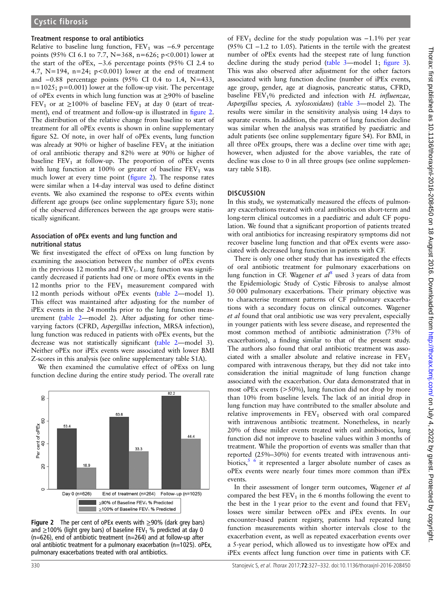#### Treatment response to oral antibiotics

Relative to baseline lung function,  $FEV_1$  was  $-6.9$  percentage points (95% CI 6.1 to 7.7, N=368, n=626; p<0.001) lower at the start of the oPEx, −3.6 percentage points (95% CI 2.4 to 4.7,  $N=194$ ,  $n=24$ ;  $p<0.001$ ) lower at the end of treatment and −0.88 percentage points (95% CI 0.4 to 1.4, N=433,  $n=1025$ ;  $p=0.001$ ) lower at the follow-up visit. The percentage of oPEx events in which lung function was at ≥90% of baseline FEV<sub>1</sub> or at  $\geq$ 100% of baseline FEV<sub>1</sub> at day 0 (start of treatment), end of treatment and follow-up is illustrated in figure 2. The distribution of the relative change from baseline to start of treatment for all oPEx events is shown in online supplementary figure S2. Of note, in over half of oPEx events, lung function was already at 90% or higher of baseline  $FEV<sub>1</sub>$  at the initiation of oral antibiotic therapy and 82% were at 90% or higher of baseline  $FEV<sub>1</sub>$  at follow-up. The proportion of oPEx events with lung function at 100% or greater of baseline  $FEV<sub>1</sub>$  was much lower at every time point (figure 2). The response rates were similar when a 14-day interval was used to define distinct events. We also examined the response to oPEx events within different age groups (see online supplementary figure S3); none of the observed differences between the age groups were statistically significant.

#### Association of oPEx events and lung function and nutritional status

We first investigated the effect of oPExs on lung function by examining the association between the number of oPEx events in the previous 12 months and  $FEV_1$ . Lung function was significantly decreased if patients had one or more oPEx events in the 12 months prior to the  $FEV_1$  measurement compared with 12 month periods without oPEx events [\(table 2](#page-4-0)—model 1). This effect was maintained after adjusting for the number of iPEx events in the 24 months prior to the lung function measurement [\(table 2](#page-4-0)—model 2). After adjusting for other timevarying factors (CFRD, Aspergillus infection, MRSA infection), lung function was reduced in patients with oPEx events, but the decrease was not statistically significant [\(table 2](#page-4-0)—model 3). Neither oPEx nor iPEx events were associated with lower BMI Z-scores in this analysis (see online supplementary table S1A).

We then examined the cumulative effect of oPExs on lung function decline during the entire study period. The overall rate



**Figure 2** The per cent of oPEx events with  $\geq$ 90% (dark grey bars) and  $\geq$ 100% (light grey bars) of baseline FEV<sub>1</sub> % predicted at day 0 (n=626), end of antibiotic treatment (n=264) and at follow-up after oral antibiotic treatment for a pulmonary exacerbation (n=1025). oPEx, pulmonary exacerbations treated with oral antibiotics.

of FEV<sub>1</sub> decline for the study population was  $-1.1\%$  per year (95% CI −1.2 to 1.05). Patients in the tertile with the greatest number of oPEx events had the steepest rate of lung function decline during the study period [\(table 3](#page-4-0)—model 1; fi[gure 3\)](#page-5-0). This was also observed after adjustment for the other factors associated with lung function decline (number of iPEx events, age group, gender, age at diagnosis, pancreatic status, CFRD, baseline  $FEV<sub>1</sub>%$  predicted and infection with H. influenzae, Aspergillus species, A. xylosoxidans) ([table 3](#page-4-0)—model 2). The results were similar in the sensitivity analysis using 14 days to separate events. In addition, the pattern of lung function decline was similar when the analysis was stratified by paediatric and adult patients (see online supplementary figure S4). For BMI, in all three oPEx groups, there was a decline over time with age; however, when adjusted for the above variables, the rate of decline was close to 0 in all three groups (see online supplementary table S1B).

#### **DISCUSSION**

In this study, we systematically measured the effects of pulmonary exacerbations treated with oral antibiotics on short-term and long-term clinical outcomes in a paediatric and adult CF population. We found that a significant proportion of patients treated with oral antibiotics for increasing respiratory symptoms did not recover baseline lung function and that oPEx events were associated with decreased lung function in patients with CF.

There is only one other study that has investigated the effects of oral antibiotic treatment for pulmonary exacerbations on lung function in CF. Wagener et  $al^8$  $al^8$  used 3 years of data from the Epidemiologic Study of Cystic Fibrosis to analyse almost 50 000 pulmonary exacerbations. Their primary objective was to characterise treatment patterns of CF pulmonary exacerbations with a secondary focus on clinical outcomes. Wagener et al found that oral antibiotic use was very prevalent, especially in younger patients with less severe disease, and represented the most common method of antibiotic administration (73% of exacerbations), a finding similar to that of the present study. The authors also found that oral antibiotic treatment was associated with a smaller absolute and relative increase in  $FEV<sub>1</sub>$ compared with intravenous therapy, but they did not take into consideration the initial magnitude of lung function change associated with the exacerbation. Our data demonstrated that in most oPEx events (>50%), lung function did not drop by more than 10% from baseline levels. The lack of an initial drop in lung function may have contributed to the smaller absolute and relative improvements in  $FEV<sub>1</sub>$  observed with oral compared with intravenous antibiotic treatment. Nonetheless, in nearly 20% of these milder events treated with oral antibiotics, lung function did not improve to baseline values within 3 months of treatment. While the proportion of events was smaller than that reported (25%–30%) for events treated with intravenous antibiotics, $5/6$  it represented a larger absolute number of cases as oPEx events were nearly four times more common than iPEx events.

In their assessment of longer term outcomes, Wagener et al compared the best  $FEV_1$  in the 6 months following the event to the best in the 1 year prior to the event and found that  $FEV<sub>1</sub>$ losses were similar between oPEx and iPEx events. In our encounter-based patient registry, patients had repeated lung function measurements within shorter intervals close to the exacerbation event, as well as repeated exacerbation events over a 5-year period, which allowed us to investigate how oPEx and iPEx events affect lung function over time in patients with CF.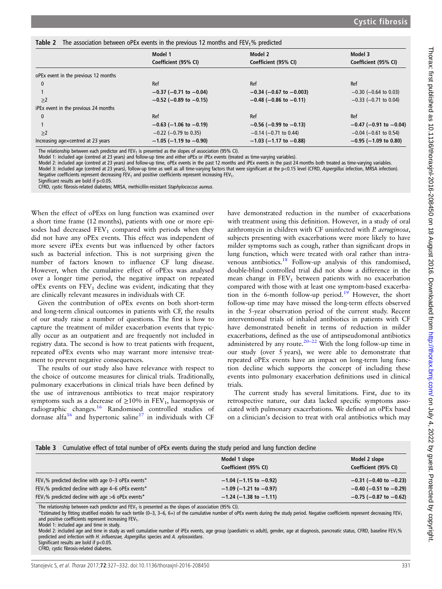<span id="page-4-0"></span>

|                                      | Model 1                        | Model 2                         | Model 3                     |
|--------------------------------------|--------------------------------|---------------------------------|-----------------------------|
|                                      | Coefficient (95% CI)           | Coefficient (95% CI)            | Coefficient (95% CI)        |
| oPEx event in the previous 12 months |                                |                                 |                             |
| $\mathbf{0}$                         | Ref                            | Ref                             | Ref                         |
|                                      | $-0.37$ (-0.71 to $-0.04$ )    | $-0.34$ ( $-0.67$ to $-0.003$ ) | $-0.30$ ( $-0.64$ to 0.03)  |
| $\geq$ 2                             | $-0.52$ (-0.89 to $-0.15$ )    | $-0.48$ (-0.86 to -0.11)        | $-0.33$ ( $-0.71$ to 0.04)  |
| iPEx event in the previous 24 months |                                |                                 |                             |
| $\mathbf{0}$                         | Ref                            | Ref                             | Ref                         |
|                                      | $-0.63$ ( $-1.06$ to $-0.19$ ) | $-0.56$ ( $-0.99$ to $-0.13$ )  | $-0.47$ (-0.91 to $-0.04$ ) |
| $\geq$ 2                             | $-0.22$ ( $-0.79$ to 0.35)     | $-0.14$ (-0.71 to 0.44)         | $-0.04$ ( $-0.61$ to 0.54)  |
| Increasing agexcentred at 23 years   | $-1.05$ (-1.19 to -0.90)       | $-1.03$ (-1.17 to -0.88)        | $-0.95$ ( $-1.09$ to 0.80)  |

The relationship between each predictor and FEV<sub>1</sub> is presented as the slopes of association (95% CI).

Model 1: included age (centred at 23 years) and follow-up time and either oPEx or iPEx events (treated as time-varying variables).

Model 2: included age (centred at 23 years) and follow-up time, oPEx events in the past 12 months and iPEx events in the past 24 months both treated as time-varying variables. Model 3: included age (centred at 23 years), follow-up time as well as all time-varying factors that were significant at the p<0.15 level (CFRD, Aspergillus infection, MRSA infection). Negative coefficients represent decreasing  $FEV<sub>1</sub>$  and positive coefficients represent increasing  $FEV<sub>1</sub>$ .

Significant results are bold if p<0.05.

CFRD, cystic fibrosis-related diabetes; MRSA, methicillin-resistant Staphylococcus aureus.

When the effect of oPExs on lung function was examined over a short time frame (12 months), patients with one or more episodes had decreased  $FEV_1$  compared with periods when they did not have any oPEx events. This effect was independent of more severe iPEx events but was influenced by other factors such as bacterial infection. This is not surprising given the number of factors known to influence CF lung disease. However, when the cumulative effect of oPExs was analysed over a longer time period, the negative impact on repeated  $oPEx$  events on  $FEV<sub>1</sub>$  decline was evident, indicating that they are clinically relevant measures in individuals with CF.

Given the contribution of oPEx events on both short-term and long-term clinical outcomes in patients with CF, the results of our study raise a number of questions. The first is how to capture the treatment of milder exacerbation events that typically occur as an outpatient and are frequently not included in registry data. The second is how to treat patients with frequent, repeated oPEx events who may warrant more intensive treatment to prevent negative consequences.

The results of our study also have relevance with respect to the choice of outcome measures for clinical trials. Traditionally, pulmonary exacerbations in clinical trials have been defined by the use of intravenous antibiotics to treat major respiratory symptoms such as a decrease of  $\geq$ 10% in FEV<sub>1</sub>, haemoptysis or radiographic changes.[16](#page-5-0) Randomised controlled studies of dornase alfa<sup>[16](#page-5-0)</sup> and hypertonic saline<sup>[17](#page-5-0)</sup> in individuals with CF

have demonstrated reduction in the number of exacerbations with treatment using this definition. However, in a study of oral azithromycin in children with CF uninfected with P. aeruginosa, subjects presenting with exacerbations were more likely to have milder symptoms such as cough, rather than significant drops in lung function, which were treated with oral rather than intra-venous antibiotics.<sup>[18](#page-5-0)</sup> Follow-up analysis of this randomised, double-blind controlled trial did not show a difference in the mean change in  $FEV<sub>1</sub>$  between patients with no exacerbation compared with those with at least one symptom-based exacerba-tion in the 6-month follow-up period.<sup>[19](#page-5-0)</sup> However, the short follow-up time may have missed the long-term effects observed in the 5-year observation period of the current study. Recent interventional trials of inhaled antibiotics in patients with CF have demonstrated benefit in terms of reduction in milder exacerbations, defined as the use of antipseudomonal antibiotics administered by any route.<sup>[20](#page-5-0)–22</sup> With the long follow-up time in our study (over 5 years), we were able to demonstrate that repeated oPEx events have an impact on long-term lung function decline which supports the concept of including these events into pulmonary exacerbation definitions used in clinical trials.

The current study has several limitations. First, due to its retrospective nature, our data lacked specific symptoms associated with pulmonary exacerbations. We defined an oPEx based on a clinician's decision to treat with oral antibiotics which may

| Cumulative effect of total number of oPEx events during the study period and lung function decline<br>Table 3                                                                                                 |                                                                                              |                                                                                           |  |
|---------------------------------------------------------------------------------------------------------------------------------------------------------------------------------------------------------------|----------------------------------------------------------------------------------------------|-------------------------------------------------------------------------------------------|--|
|                                                                                                                                                                                                               | Model 1 slope<br>Coefficient (95% CI)                                                        | Model 2 slope<br>Coefficient (95% CI)                                                     |  |
| FEV <sub>1</sub> % predicted decline with age 0-3 oPEx events*<br>FEV <sub>1</sub> % predicted decline with age 4–6 oPEx events <sup>*</sup><br>FEV <sub>1</sub> % predicted decline with age >6 oPEx events* | $-1.04$ ( $-1.15$ to $-0.92$ )<br>$-1.09$ ( $-1.21$ to $-0.97$ )<br>$-1.24$ (-1.38 to -1.11) | $-0.31$ (-0.40 to $-0.23$ )<br>$-0.40$ (-0.51 to $-0.29$ )<br>$-0.75$ (-0.87 to $-0.62$ ) |  |

The relationship between each predictor and FEV<sub>1</sub> is presented as the slopes of association (95% CI).

\*Estimated by fitting stratified models for each tertile (0–3, 3–6, 6+) of the cumulative number of oPEx events during the study period. Negative coefficients represent decreasing FEV1 and positive coefficients represent increasing  $FEV<sub>1</sub>$ .

Model 1: included age and time in study.

Model 2: included age and time in study as well cumulative number of iPEx events, age group (paediatric vs adult), gender, age at diagnosis, pancreatic status, CFRD, baseline FEV<sub>1</sub>% predicted and infection with H. influenzae, Aspergillus species and A. xylosoxidans. Significant results are bold if p<0.05.

CFRD, cystic fibrosis-related diabetes.